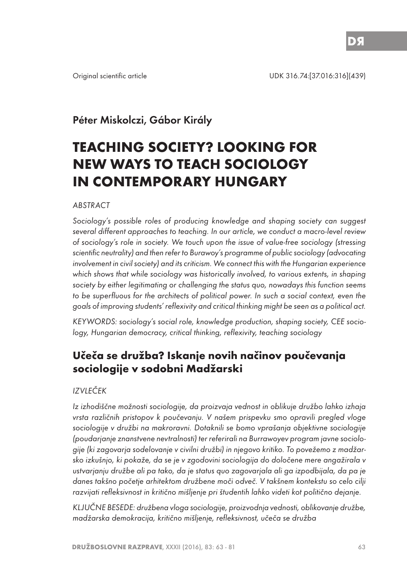# Péter Miskolczi, Gábor Király

# **TEACHING SOCIETY? LOOKING FOR NEW WAYS TO TEACH SOCIOLOGY IN CONTEMPORARY HUNGARY**

#### ABSTRACT

Sociology's possible roles of producing knowledge and shaping society can suggest several different approaches to teaching. In our article, we conduct a macro-level review of sociology's role in society. We touch upon the issue of value-free sociology (stressing scientific neutrality) and then refer to Burawoy's programme of public sociology (advocating involvement in civil society) and its criticism. We connect this with the Hungarian experience which shows that while sociology was historically involved, to various extents, in shaping society by either legitimating or challenging the status quo, nowadays this function seems to be superfluous for the architects of political power. In such a social context, even the goals of improving students' reflexivity and critical thinking might be seen as a political act.

KEYWORDS: sociology's social role, knowledge production, shaping society, CEE sociology, Hungarian democracy, critical thinking, reflexivity, teaching sociology

# **Učeča se družba? Iskanje novih načinov poučevanja sociologije v sodobni Madžarski**

## IZVLEČEK

Iz izhodiščne možnosti sociologije, da proizvaja vednost in oblikuje družbo lahko izhaja vrsta različnih pristopov k poučevanju. V našem prispevku smo opravili pregled vloge sociologije v družbi na makroravni. Dotaknili se bomo vprašanja objektivne sociologije (poudarjanje znanstvene nevtralnosti) ter referirali na Burrawoyev program javne sociologije (ki zagovarja sodelovanje v civilni družbi) in njegovo kritiko. To povežemo z madžarsko izkušnjo, ki pokaže, da se je v zgodovini sociologija do določene mere angažirala v ustvarjanju družbe ali pa tako, da je status quo zagovarjala ali ga izpodbijala, da pa je danes takšno početje arhitektom družbene moči odveč. V takšnem kontekstu so celo cilji razvijati refleksivnost in kritično mišljenje pri študentih lahko videti kot politično dejanje.

KLJUČNE BESEDE: družbena vloga sociologije, proizvodnja vednosti, oblikovanje družbe, madžarska demokracija, kritično mišljenje, refleksivnost, učeča se družba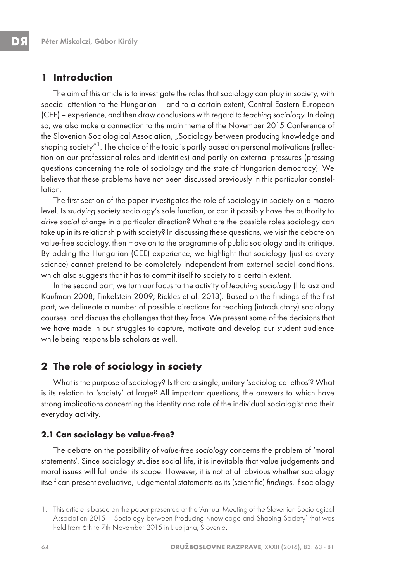# **1 Introduction**

The aim of this article is to investigate the roles that sociology can play in society, with special attention to the Hungarian – and to a certain extent, Central-Eastern European (CEE) – experience, and then draw conclusions with regard to teaching sociology. In doing so, we also make a connection to the main theme of the November 2015 Conference of the Slovenian Sociological Association, "Sociology between producing knowledge and shaping society"<sup>1</sup>. The choice of the topic is partly based on personal motivations (reflection on our professional roles and identities) and partly on external pressures (pressing questions concerning the role of sociology and the state of Hungarian democracy). We believe that these problems have not been discussed previously in this particular constellation.

The first section of the paper investigates the role of sociology in society on a macro level. Is studying society sociology's sole function, or can it possibly have the authority to drive social change in a particular direction? What are the possible roles sociology can take up in its relationship with society? In discussing these questions, we visit the debate on value-free sociology, then move on to the programme of public sociology and its critique. By adding the Hungarian (CEE) experience, we highlight that sociology (just as every science) cannot pretend to be completely independent from external social conditions, which also suggests that it has to commit itself to society to a certain extent.

In the second part, we turn our focus to the activity of teaching sociology (Halasz and Kaufman 2008; Finkelstein 2009; Rickles et al. 2013). Based on the findings of the first part, we delineate a number of possible directions for teaching (introductory) sociology courses, and discuss the challenges that they face. We present some of the decisions that we have made in our struggles to capture, motivate and develop our student audience while being responsible scholars as well.

# **2 The role of sociology in society**

What is the purpose of sociology? Is there a single, unitary 'sociological ethos'? What is its relation to 'society' at large? All important questions, the answers to which have strong implications concerning the identity and role of the individual sociologist and their everyday activity.

#### **2.1 Can sociology be value-free?**

The debate on the possibility of value-free sociology concerns the problem of 'moral statements'. Since sociology studies social life, it is inevitable that value judgements and moral issues will fall under its scope. However, it is not at all obvious whether sociology itself can present evaluative, judgemental statements as its (scientific) findings. If sociology

<sup>1.</sup> This article is based on the paper presented at the 'Annual Meeting of the Slovenian Sociological Association 2015 – Sociology between Producing Knowledge and Shaping Society' that was held from 6th to 7th November 2015 in Ljubljana, Slovenia.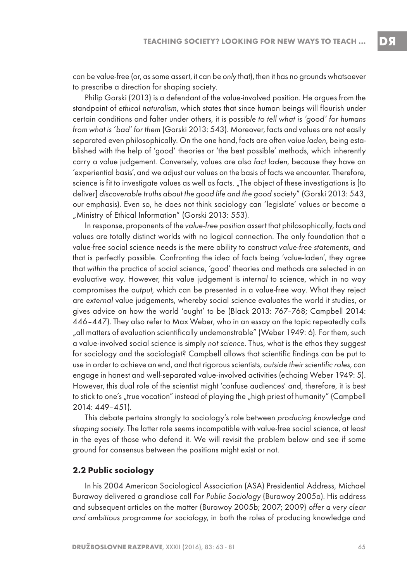can be value-free (or, as some assert, it can be only that), then it has no grounds whatsoever

Philip Gorski (2013) is a defendant of the value-involved position. He argues from the standpoint of ethical naturalism, which states that since human beings will flourish under certain conditions and falter under others, it is possible to tell what is 'good' for humans from what is 'bad' for them (Gorski 2013: 543). Moreover, facts and values are not easily separated even philosophically. On the one hand, facts are often value laden, being established with the help of 'good' theories or 'the best possible' methods, which inherently carry a value judgement. Conversely, values are also fact laden, because they have an 'experiential basis', and we adjust our values on the basis of facts we encounter. Therefore, science is fit to investigate values as well as facts. "The object of these investigations is [to deliver] discoverable truths about the good life and the good society" (Gorski 2013: 543, our emphasis). Even so, he does not think sociology can 'legislate' values or become a "Ministry of Ethical Information" (Gorski 2013: 553).

to prescribe a direction for shaping society.

In response, proponents of the value-free position assert that philosophically, facts and values are totally distinct worlds with no logical connection. The only foundation that a value-free social science needs is the mere ability to construct value-free statements, and that is perfectly possible. Confronting the idea of facts being 'value-laden', they agree that within the practice of social science, 'good' theories and methods are selected in an evaluative way. However, this value judgement is internal to science, which in no way compromises the output, which can be presented in a value-free way. What they reject are external value judgements, whereby social science evaluates the world it studies, or gives advice on how the world 'ought' to be (Black 2013: 767–768; Campbell 2014: 446–447). They also refer to Max Weber, who in an essay on the topic repeatedly calls "all matters of evaluation scientifically undemonstrable" (Weber 1949: 6). For them, such a value-involved social science is simply not science. Thus, what is the ethos they suggest for sociology and the sociologist? Campbell allows that scientific findings can be put to use in order to achieve an end, and that rigorous scientists, outside their scientific roles, can engage in honest and well-separated value-involved activities (echoing Weber 1949: 5). However, this dual role of the scientist might 'confuse audiences' and, therefore, it is best to stick to one's "true vocation" instead of playing the "high priest of humanity" (Campbell 2014: 449–451).

This debate pertains strongly to sociology's role between producing knowledge and shaping society. The latter role seems incompatible with value-free social science, at least in the eyes of those who defend it. We will revisit the problem below and see if some ground for consensus between the positions might exist or not.

#### **2.2 Public sociology**

In his 2004 American Sociological Association (ASA) Presidential Address, Michael Burawoy delivered a grandiose call For Public Sociology (Burawoy 2005a). His address and subsequent articles on the matter (Burawoy 2005b; 2007; 2009) offer a very clear and ambitious programme for sociology, in both the roles of producing knowledge and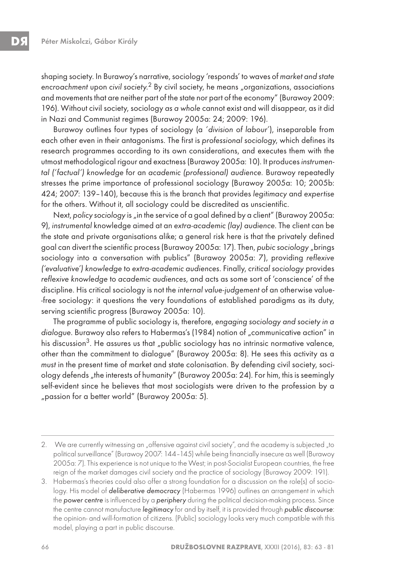shaping society. In Burawoy's narrative, sociology 'responds' to waves of market and state encroachment upon civil society.<sup>2</sup> By civil society, he means "organizations, associations and movements that are neither part of the state nor part of the economy" (Burawoy 2009: 196). Without civil society, sociology as a whole cannot exist and will disappear, as it did in Nazi and Communist regimes (Burawoy 2005a: 24; 2009: 196).

Burawoy outlines four types of sociology (a 'division of labour'), inseparable from each other even in their antagonisms. The first is professional sociology, which defines its research programmes according to its own considerations, and executes them with the utmost methodological rigour and exactness (Burawoy 2005a: 10). It produces instrumental ('factual') knowledge for an academic (professional) audience. Burawoy repeatedly stresses the prime importance of professional sociology (Burawoy 2005a: 10; 2005b: 424; 2007: 139–140), because this is the branch that provides legitimacy and expertise for the others. Without it, all sociology could be discredited as unscientific.

Next, policy sociology is "in the service of a goal defined by a client" (Burawoy 2005a: 9), instrumental knowledge aimed at an extra-academic (lay) audience. The client can be the state and private organisations alike; a general risk here is that the privately defined goal can divert the scientific process (Burawoy 2005a: 17). Then, pubic sociology "brings sociology into a conversation with publics" (Burawoy 2005a: 7), providing reflexive ('evaluative') knowledge to extra-academic audiences. Finally, critical sociology provides reflexive knowledge to academic audiences, and acts as some sort of 'conscience' of the discipline. His critical sociology is not the internal value-judgement of an otherwise value- -free sociology: it questions the very foundations of established paradigms as its duty, serving scientific progress (Burawoy 2005a: 10).

The programme of public sociology is, therefore, engaging sociology and society in a dialogue. Burawoy also refers to Habermas's (1984) notion of "communicative action" in his discussion<sup>3</sup>. He assures us that *"public* sociology has no intrinsic normative valence, other than the commitment to dialogue" (Burawoy 2005a: 8). He sees this activity as a must in the present time of market and state colonisation. By defending civil society, sociology defends "the interests of humanity" (Burawoy 2005a: 24). For him, this is seemingly self-evident since he believes that most sociologists were driven to the profession by a "passion for a better world" (Burawoy 2005a: 5).

<sup>2.</sup> We are currently witnessing an "offensive against civil society", and the academy is subjected "to political surveillance" (Burawoy 2007: 144–145) while being financially insecure as well (Burawoy 2005a: 7). This experience is not unique to the West; in post-Socialist European countries, the free reign of the market damages civil society and the practice of sociology (Burawoy 2009: 191).

<sup>3.</sup> Habermas's theories could also offer a strong foundation for a discussion on the role(s) of sociology. His model of deliberative democracy (Habermas 1996) outlines an arrangement in which the power centre is influenced by a periphery during the political decision-making process. Since the centre cannot manufacture legitimacy for and by itself, it is provided through public discourse: the opinion- and will-formation of citizens. (Public) sociology looks very much compatible with this model, playing a part in public discourse.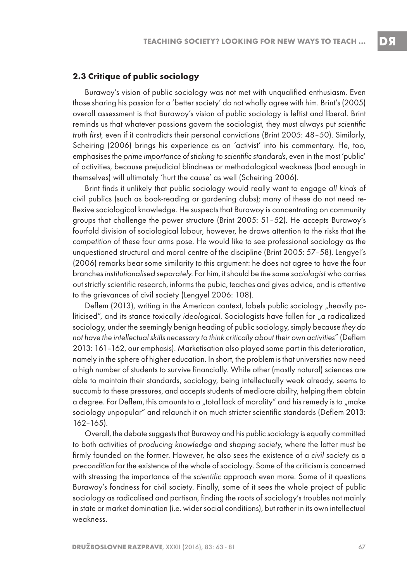#### **2.3 Critique of public sociology**

Burawoy's vision of public sociology was not met with unqualified enthusiasm. Even those sharing his passion for a 'better society' do not wholly agree with him. Brint's (2005) overall assessment is that Burawoy's vision of public sociology is leftist and liberal. Brint reminds us that whatever passions govern the sociologist, they must always put scientific truth first, even if it contradicts their personal convictions (Brint 2005: 48–50). Similarly, Scheiring (2006) brings his experience as an 'activist' into his commentary. He, too, emphasises the prime importance of sticking to scientific standards, even in the most 'public' of activities, because prejudicial blindness or methodological weakness (bad enough in themselves) will ultimately 'hurt the cause' as well (Scheiring 2006).

Brint finds it unlikely that public sociology would really want to engage all kinds of civil publics (such as book-reading or gardening clubs); many of these do not need reflexive sociological knowledge. He suspects that Burawoy is concentrating on community groups that challenge the power structure (Brint 2005: 51–52). He accepts Burawoy's fourfold division of sociological labour, however, he draws attention to the risks that the competition of these four arms pose. He would like to see professional sociology as the unquestioned structural and moral centre of the discipline (Brint 2005: 57–58). Lengyel's (2006) remarks bear some similarity to this argument: he does not agree to have the four branches institutionalised separately. For him, it should be the same sociologist who carries out strictly scientific research, informs the pubic, teaches and gives advice, and is attentive to the grievances of civil society (Lengyel 2006: 108).

Deflem (2013), writing in the American context, labels public sociology "heavily politicised", and its stance toxically ideological. Sociologists have fallen for "a radicalized sociology, under the seemingly benign heading of public sociology, simply because they do not have the intellectual skills necessary to think critically about their own activities" (Deflem 2013: 161–162, our emphasis). Marketisation also played some part in this deterioration, namely in the sphere of higher education. In short, the problem is that universities now need a high number of students to survive financially. While other (mostly natural) sciences are able to maintain their standards, sociology, being intellectually weak already, seems to succumb to these pressures, and accepts students of mediocre ability, helping them obtain a degree. For Deflem, this amounts to a "total lack of morality" and his remedy is to "make sociology unpopular" and relaunch it on much stricter scientific standards (Deflem 2013: 162–165).

Overall, the debate suggests that Burawoy and his public sociology is equally committed to both activities of producing knowledge and shaping society, where the latter must be firmly founded on the former. However, he also sees the existence of a civil society as a precondition for the existence of the whole of sociology. Some of the criticism is concerned with stressing the importance of the scientific approach even more. Some of it questions Burawoy's fondness for civil society. Finally, some of it sees the whole project of public sociology as radicalised and partisan, finding the roots of sociology's troubles not mainly in state or market domination (i.e. wider social conditions), but rather in its own intellectual weakness.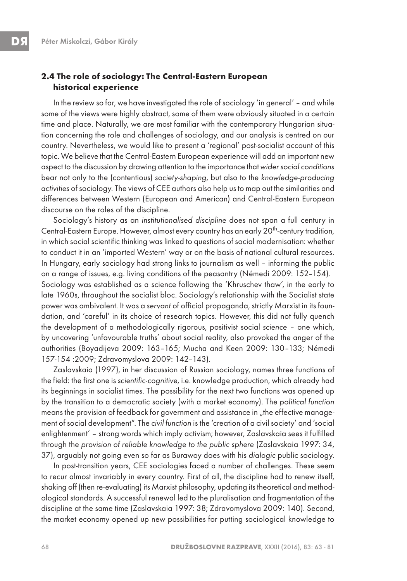# **2.4 The role of sociology: The Central-Eastern European historical experience**

In the review so far, we have investigated the role of sociology 'in general' – and while some of the views were highly abstract, some of them were obviously situated in a certain time and place. Naturally, we are most familiar with the contemporary Hungarian situation concerning the role and challenges of sociology, and our analysis is centred on our country. Nevertheless, we would like to present a 'regional' post-socialist account of this topic. We believe that the Central-Eastern European experience will add an important new aspect to the discussion by drawing attention to the importance that wider social conditions bear not only to the (contentious) society-shaping, but also to the knowledge-producing activities of sociology. The views of CEE authors also help us to map out the similarities and differences between Western (European and American) and Central-Eastern European discourse on the roles of the discipline.

Sociology's history as an institutionalised discipline does not span a full century in Central-Eastern Europe. However, almost every country has an early 20<sup>th</sup>-century tradition, in which social scientific thinking was linked to questions of social modernisation: whether to conduct it in an 'imported Western' way or on the basis of national cultural resources. In Hungary, early sociology had strong links to journalism as well – informing the public on a range of issues, e.g. living conditions of the peasantry (Némedi 2009: 152–154). Sociology was established as a science following the 'Khruschev thaw', in the early to late 1960s, throughout the socialist bloc. Sociology's relationship with the Socialist state power was ambivalent. It was a servant of official propaganda, strictly Marxist in its foundation, and 'careful' in its choice of research topics. However, this did not fully quench the development of a methodologically rigorous, positivist social science – one which, by uncovering 'unfavourable truths' about social reality, also provoked the anger of the authorities (Boyadijeva 2009: 163–165; Mucha and Keen 2009: 130–133; Némedi 157-154 :2009; Zdravomyslova 2009: 142–143).

Zaslavskaia (1997), in her discussion of Russian sociology, names three functions of the field: the first one is scientific-cognitive, i.e. knowledge production, which already had its beginnings in socialist times. The possibility for the next two functions was opened up by the transition to a democratic society (with a market economy). The political function means the provision of feedback for government and assistance in "the effective management of social development". The civil function is the 'creation of a civil society' and 'social enlightenment' – strong words which imply activism; however, Zaslavskaia sees it fulfilled through the provision of reliable knowledge to the public sphere (Zaslavskaia 1997: 34, 37), arguably not going even so far as Burawoy does with his dialogic public sociology.

In post-transition years, CEE sociologies faced a number of challenges. These seem to recur almost invariably in every country. First of all, the discipline had to renew itself, shaking off (then re-evaluating) its Marxist philosophy, updating its theoretical and methodological standards. A successful renewal led to the pluralisation and fragmentation of the discipline at the same time (Zaslavskaia 1997: 38; Zdravomyslova 2009: 140). Second, the market economy opened up new possibilities for putting sociological knowledge to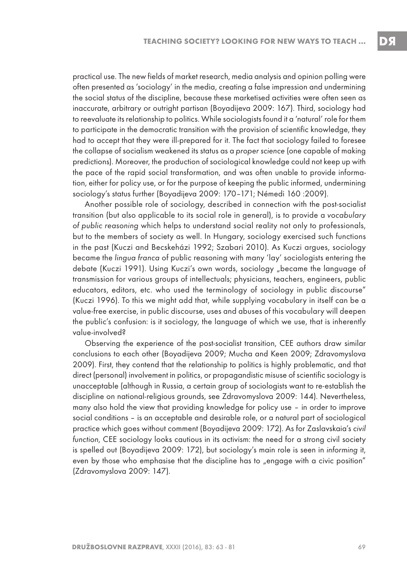practical use. The new fields of market research, media analysis and opinion polling were often presented as 'sociology' in the media, creating a false impression and undermining the social status of the discipline, because these marketised activities were often seen as inaccurate, arbitrary or outright partisan (Boyadijeva 2009: 167). Third, sociology had to reevaluate its relationship to politics. While sociologists found it a 'natural' role for them to participate in the democratic transition with the provision of scientific knowledge, they had to accept that they were ill-prepared for it. The fact that sociology failed to foresee the collapse of socialism weakened its status as a proper science (one capable of making predictions). Moreover, the production of sociological knowledge could not keep up with the pace of the rapid social transformation, and was often unable to provide information, either for policy use, or for the purpose of keeping the public informed, undermining sociology's status further (Boyadijeva 2009: 170–171; Némedi 160 :2009).

Another possible role of sociology, described in connection with the post-socialist transition (but also applicable to its social role in general), is to provide a vocabulary of public reasoning which helps to understand social reality not only to professionals, but to the members of society as well. In Hungary, sociology exercised such functions in the past (Kuczi and Becskeházi 1992; Szabari 2010). As Kuczi argues, sociology became the lingua franca of public reasoning with many 'lay' sociologists entering the debate (Kuczi 1991). Using Kuczi's own words, sociology "became the language of transmission for various groups of intellectuals; physicians, teachers, engineers, public educators, editors, etc. who used the terminology of sociology in public discourse" (Kuczi 1996). To this we might add that, while supplying vocabulary in itself can be a value-free exercise, in public discourse, uses and abuses of this vocabulary will deepen the public's confusion: is it sociology, the language of which we use, that is inherently value-involved?

Observing the experience of the post-socialist transition, CEE authors draw similar conclusions to each other (Boyadijeva 2009; Mucha and Keen 2009; Zdravomyslova 2009). First, they contend that the relationship to politics is highly problematic, and that direct (personal) involvement in politics, or propagandistic misuse of scientific sociology is unacceptable (although in Russia, a certain group of sociologists want to re-establish the discipline on national-religious grounds, see Zdravomyslova 2009: 144). Nevertheless, many also hold the view that providing knowledge for policy use – in order to improve social conditions – is an acceptable and desirable role, or a natural part of sociological practice which goes without comment (Boyadijeva 2009: 172). As for Zaslavskaia's civil function, CEE sociology looks cautious in its activism: the need for a strong civil society is spelled out (Boyadijeva 2009: 172), but sociology's main role is seen in informing it, even by those who emphasise that the discipline has to "engage with a civic position" (Zdravomyslova 2009: 147).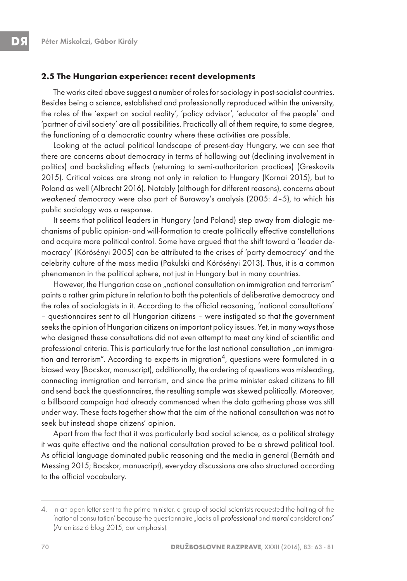#### **2.5 The Hungarian experience: recent developments**

The works cited above suggest a number of roles for sociology in post-socialist countries. Besides being a science, established and professionally reproduced within the university, the roles of the 'expert on social reality', 'policy advisor', 'educator of the people' and 'partner of civil society' are all possibilities. Practically all of them require, to some degree, the functioning of a democratic country where these activities are possible.

Looking at the actual political landscape of present-day Hungary, we can see that there are concerns about democracy in terms of hollowing out (declining involvement in politics) and backsliding effects (returning to semi-authoritarian practices) (Greskovits 2015). Critical voices are strong not only in relation to Hungary (Kornai 2015), but to Poland as well (Albrecht 2016). Notably (although for different reasons), concerns about weakened democracy were also part of Burawoy's analysis (2005: 4–5), to which his public sociology was a response.

It seems that political leaders in Hungary (and Poland) step away from dialogic mechanisms of public opinion- and will-formation to create politically effective constellations and acquire more political control. Some have argued that the shift toward a 'leader democracy' (Körösényi 2005) can be attributed to the crises of 'party democracy' and the celebrity culture of the mass media (Pakulski and Körösényi 2013). Thus, it is a common phenomenon in the political sphere, not just in Hungary but in many countries.

However, the Hungarian case on "national consultation on immigration and terrorism" paints a rather grim picture in relation to both the potentials of deliberative democracy and the roles of sociologists in it. According to the official reasoning, 'national consultations' – questionnaires sent to all Hungarian citizens – were instigated so that the government seeks the opinion of Hungarian citizens on important policy issues. Yet, in many ways those who designed these consultations did not even attempt to meet any kind of scientific and professional criteria. This is particularly true for the last national consultation "on immigration and terrorism". According to experts in migration<sup>4</sup>, questions were formulated in a biased way (Bocskor, manuscript), additionally, the ordering of questions was misleading, connecting immigration and terrorism, and since the prime minister asked citizens to fill and send back the questionnaires, the resulting sample was skewed politically. Moreover, a billboard campaign had already commenced when the data gathering phase was still under way. These facts together show that the aim of the national consultation was not to seek but instead shape citizens' opinion.

Apart from the fact that it was particularly bad social science, as a political strategy it was quite effective and the national consultation proved to be a shrewd political tool. As official language dominated public reasoning and the media in general (Bernáth and Messing 2015; Bocskor, manuscript), everyday discussions are also structured according to the official vocabulary.

<sup>4.</sup> In an open letter sent to the prime minister, a group of social scientists requested the halting of the 'national consultation' because the questionnaire "lacks all **professional** and moral considerations" (Artemisszió blog 2015, our emphasis).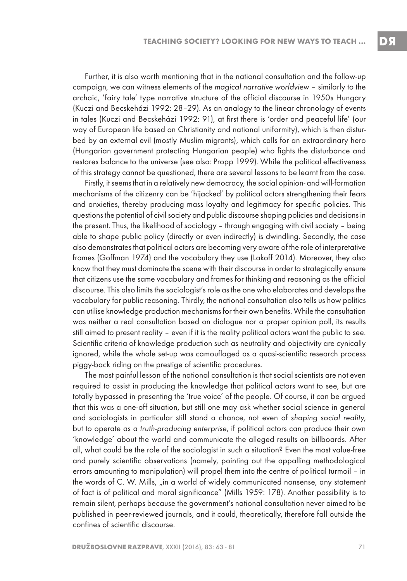Further, it is also worth mentioning that in the national consultation and the follow-up campaign, we can witness elements of the magical narrative worldview – similarly to the archaic, 'fairy tale' type narrative structure of the official discourse in 1950s Hungary (Kuczi and Becskeházi 1992: 28–29). As an analogy to the linear chronology of events in tales (Kuczi and Becskeházi 1992: 91), at first there is 'order and peaceful life' (our way of European life based on Christianity and national uniformity), which is then disturbed by an external evil (mostly Muslim migrants), which calls for an extraordinary hero (Hungarian government protecting Hungarian people) who fights the disturbance and restores balance to the universe (see also: Propp 1999). While the political effectiveness of this strategy cannot be questioned, there are several lessons to be learnt from the case.

Firstly, it seems that in a relatively new democracy, the social opinion- and will-formation mechanisms of the citizenry can be 'hijacked' by political actors strengthening their fears and anxieties, thereby producing mass loyalty and legitimacy for specific policies. This questions the potential of civil society and public discourse shaping policies and decisions in the present. Thus, the likelihood of sociology – through engaging with civil society – being able to shape public policy (directly or even indirectly) is dwindling. Secondly, the case also demonstrates that political actors are becoming very aware of the role of interpretative frames (Goffman 1974) and the vocabulary they use (Lakoff 2014). Moreover, they also know that they must dominate the scene with their discourse in order to strategically ensure that citizens use the same vocabulary and frames for thinking and reasoning as the official discourse. This also limits the sociologist's role as the one who elaborates and develops the vocabulary for public reasoning. Thirdly, the national consultation also tells us how politics can utilise knowledge production mechanisms for their own benefits. While the consultation was neither a real consultation based on dialogue nor a proper opinion poll, its results still aimed to present reality – even if it is the reality political actors want the public to see. Scientific criteria of knowledge production such as neutrality and objectivity are cynically ignored, while the whole set-up was camouflaged as a quasi-scientific research process piggy-back riding on the prestige of scientific procedures.

The most painful lesson of the national consultation is that social scientists are not even required to assist in producing the knowledge that political actors want to see, but are totally bypassed in presenting the 'true voice' of the people. Of course, it can be argued that this was a one-off situation, but still one may ask whether social science in general and sociologists in particular still stand a chance, not even of shaping social reality, but to operate as a truth-producing enterprise, if political actors can produce their own 'knowledge' about the world and communicate the alleged results on billboards. After all, what could be the role of the sociologist in such a situation? Even the most value-free and purely scientific observations (namely, pointing out the appalling methodological errors amounting to manipulation) will propel them into the centre of political turmoil – in the words of C. W. Mills, "in a world of widely communicated nonsense, any statement of fact is of political and moral significance" (Mills 1959: 178). Another possibility is to remain silent, perhaps because the government's national consultation never aimed to be published in peer-reviewed journals, and it could, theoretically, therefore fall outside the confines of scientific discourse.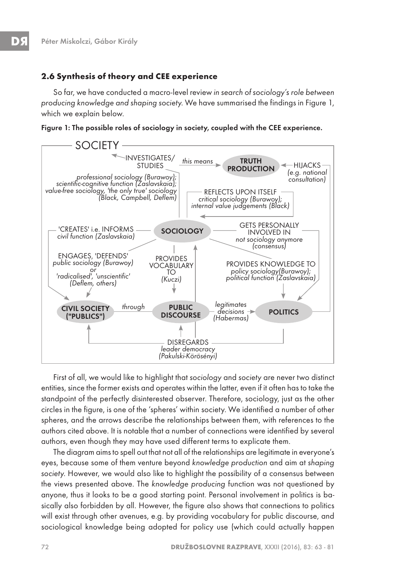## **2.6 Synthesis of theory and CEE experience**

So far, we have conducted a macro-level review in search of sociology's role between producing knowledge and shaping society. We have summarised the findings in Figure 1, which we explain below.





First of all, we would like to highlight that sociology and society are never two distinct entities, since the former exists and operates within the latter, even if it often has to take the standpoint of the perfectly disinterested observer. Therefore, sociology, just as the other circles in the figure, is one of the 'spheres' within society. We identified a number of other spheres, and the arrows describe the relationships between them, with references to the authors cited above. It is notable that a number of connections were identified by several authors, even though they may have used different terms to explicate them.

The diagram aims to spell out that not all of the relationships are legitimate in everyone's eyes, because some of them venture beyond knowledge production and aim at shaping society. However, we would also like to highlight the possibility of a consensus between the views presented above. The knowledge producing function was not questioned by anyone, thus it looks to be a good starting point. Personal involvement in politics is basically also forbidden by all. However, the figure also shows that connections to politics will exist through other avenues, e.g. by providing vocabulary for public discourse, and sociological knowledge being adopted for policy use (which could actually happen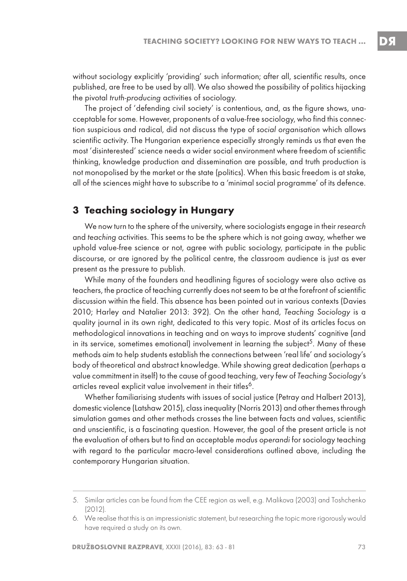without sociology explicitly 'providing' such information; after all, scientific results, once published, are free to be used by all). We also showed the possibility of politics hijacking the pivotal truth-producing activities of sociology.

The project of 'defending civil society' is contentious, and, as the figure shows, unacceptable for some. However, proponents of a value-free sociology, who find this connection suspicious and radical, did not discuss the type of social organisation which allows scientific activity. The Hungarian experience especially strongly reminds us that even the most 'disinterested' science needs a wider social environment where freedom of scientific thinking, knowledge production and dissemination are possible, and truth production is not monopolised by the market or the state (politics). When this basic freedom is at stake, all of the sciences might have to subscribe to a 'minimal social programme' of its defence.

# **3 Teaching sociology in Hungary**

We now turn to the sphere of the university, where sociologists engage in their research and teaching activities. This seems to be the sphere which is not going away, whether we uphold value-free science or not, agree with public sociology, participate in the public discourse, or are ignored by the political centre, the classroom audience is just as ever present as the pressure to publish.

While many of the founders and headlining figures of sociology were also active as teachers, the practice of teaching currently does not seem to be at the forefront of scientific discussion within the field. This absence has been pointed out in various contexts (Davies 2010; Harley and Natalier 2013: 392). On the other hand, Teaching Sociology is a quality journal in its own right, dedicated to this very topic. Most of its articles focus on methodological innovations in teaching and on ways to improve students' cognitive (and in its service, sometimes emotional) involvement in learning the subject<sup>5</sup>. Many of these methods aim to help students establish the connections between 'real life' and sociology's body of theoretical and abstract knowledge. While showing great dedication (perhaps a value commitment in itself) to the cause of good teaching, very few of Teaching Sociology's articles reveal explicit value involvement in their titles<sup>6</sup>.

Whether familiarising students with issues of social justice (Petray and Halbert 2013), domestic violence (Latshaw 2015), class inequality (Norris 2013) and other themes through simulation games and other methods crosses the line between facts and values, scientific and unscientific, is a fascinating question. However, the goal of the present article is not the evaluation of others but to find an acceptable modus operandi for sociology teaching with regard to the particular macro-level considerations outlined above, including the contemporary Hungarian situation.

<sup>5.</sup> Similar articles can be found from the CEE region as well, e.g. Malikova (2003) and Toshchenko (2012).

<sup>6.</sup> We realise that this is an impressionistic statement, but researching the topic more rigorously would have required a study on its own.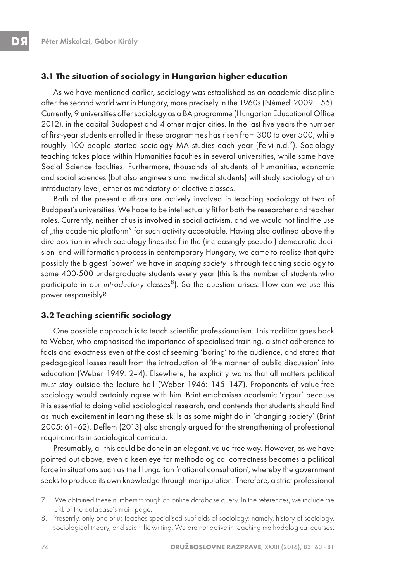#### **3.1 The situation of sociology in Hungarian higher education**

As we have mentioned earlier, sociology was established as an academic discipline after the second world war in Hungary, more precisely in the 1960s (Némedi 2009: 155). Currently, 9 universities offer sociology as a BA programme (Hungarian Educational Office 2012), in the capital Budapest and 4 other major cities. In the last five years the number of first-year students enrolled in these programmes has risen from 300 to over 500, while roughly 100 people started sociology MA studies each year (Felvi n.d.<sup>7</sup>). Sociology teaching takes place within Humanities faculties in several universities, while some have Social Science faculties. Furthermore, thousands of students of humanities, economic and social sciences (but also engineers and medical students) will study sociology at an introductory level, either as mandatory or elective classes.

Both of the present authors are actively involved in teaching sociology at two of Budapest's universities. We hope to be intellectually fit for both the researcher and teacher roles. Currently, neither of us is involved in social activism, and we would not find the use of , the academic platform" for such activity acceptable. Having also outlined above the dire position in which sociology finds itself in the (increasingly pseudo-) democratic decision- and will-formation process in contemporary Hungary, we came to realise that quite possibly the biggest 'power' we have in shaping society is through teaching sociology to some 400-500 undergraduate students every year (this is the number of students who participate in our introductory classes $8$ ). So the question arises: How can we use this power responsibly?

#### **3.2 Teaching scientific sociology**

One possible approach is to teach scientific professionalism. This tradition goes back to Weber, who emphasised the importance of specialised training, a strict adherence to facts and exactness even at the cost of seeming 'boring' to the audience, and stated that pedagogical losses result from the introduction of 'the manner of public discussion' into education (Weber 1949: 2–4). Elsewhere, he explicitly warns that all matters political must stay outside the lecture hall (Weber 1946: 145–147). Proponents of value-free sociology would certainly agree with him. Brint emphasises academic 'rigour' because it is essential to doing valid sociological research, and contends that students should find as much excitement in learning these skills as some might do in 'changing society' (Brint 2005: 61–62). Deflem (2013) also strongly argued for the strengthening of professional requirements in sociological curricula.

Presumably, all this could be done in an elegant, value-free way. However, as we have pointed out above, even a keen eye for methodological correctness becomes a political force in situations such as the Hungarian 'national consultation', whereby the government seeks to produce its own knowledge through manipulation. Therefore, a strict professional

<sup>7.</sup> We obtained these numbers through an online database query. In the references, we include the URL of the database's main page.

<sup>8.</sup> Presently, only one of us teaches specialised subfields of sociology: namely, history of sociology, sociological theory, and scientific writing. We are not active in teaching methodological courses.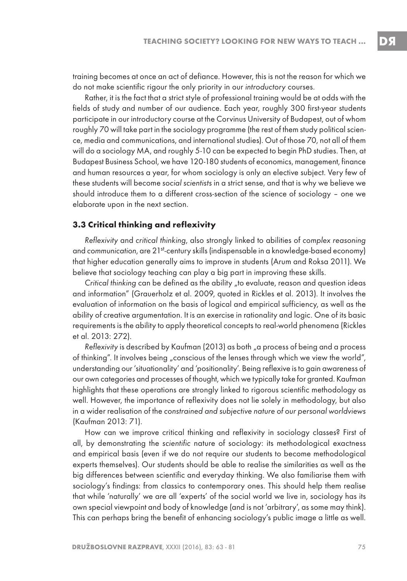training becomes at once an act of defiance. However, this is not the reason for which we do not make scientific rigour the only priority in our introductory courses.

Rather, it is the fact that a strict style of professional training would be at odds with the fields of study and number of our audience. Each year, roughly 300 first-year students participate in our introductory course at the Corvinus University of Budapest, out of whom roughly 70 will take part in the sociology programme (the rest of them study political science, media and communications, and international studies). Out of those 70, not all of them will do a sociology MA, and roughly 5-10 can be expected to begin PhD studies. Then, at Budapest Business School, we have 120-180 students of economics, management, finance and human resources a year, for whom sociology is only an elective subject. Very few of these students will become social scientists in a strict sense, and that is why we believe we should introduce them to a different cross-section of the science of sociology – one we elaborate upon in the next section.

#### **3.3 Critical thinking and reflexivity**

Reflexivity and critical thinking, also strongly linked to abilities of complex reasoning and communication, are 21<sup>st</sup>-century skills (indispensable in a knowledge-based economy) that higher education generally aims to improve in students (Arum and Roksa 2011). We believe that sociology teaching can play a big part in improving these skills.

Critical thinking can be defined as the ability "to evaluate, reason and question ideas and information" (Grauerholz et al. 2009, quoted in Rickles et al. 2013). It involves the evaluation of information on the basis of logical and empirical sufficiency, as well as the ability of creative argumentation. It is an exercise in rationality and logic. One of its basic requirements is the ability to apply theoretical concepts to real-world phenomena (Rickles et al. 2013: 272).

Reflexivity is described by Kaufman (2013) as both "a process of being and a process of thinking". It involves being "conscious of the lenses through which we view the world", understanding our 'situationality' and 'positionality'. Being reflexive is to gain awareness of our own categories and processes of thought, which we typically take for granted. Kaufman highlights that these operations are strongly linked to rigorous scientific methodology as well. However, the importance of reflexivity does not lie solely in methodology, but also in a wider realisation of the constrained and subjective nature of our personal worldviews (Kaufman 2013: 71).

How can we improve critical thinking and reflexivity in sociology classes? First of all, by demonstrating the scientific nature of sociology: its methodological exactness and empirical basis (even if we do not require our students to become methodological experts themselves). Our students should be able to realise the similarities as well as the big differences between scientific and everyday thinking. We also familiarise them with sociology's findings: from classics to contemporary ones. This should help them realise that while 'naturally' we are all 'experts' of the social world we live in, sociology has its own special viewpoint and body of knowledge (and is not 'arbitrary', as some may think). This can perhaps bring the benefit of enhancing sociology's public image a little as well.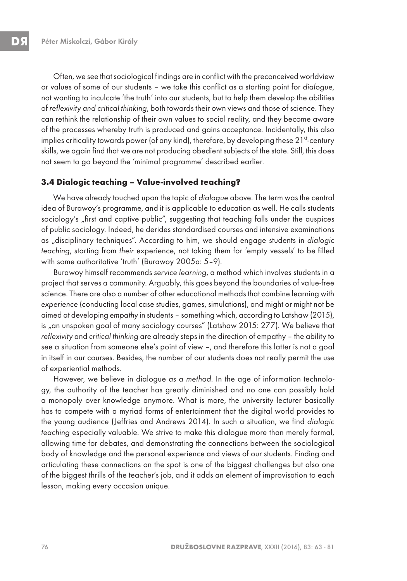Often, we see that sociological findings are in conflict with the preconceived worldview or values of some of our students – we take this conflict as a starting point for dialogue, not wanting to inculcate 'the truth' into our students, but to help them develop the abilities of reflexivity and critical thinking, both towards their own views and those of science. They can rethink the relationship of their own values to social reality, and they become aware of the processes whereby truth is produced and gains acceptance. Incidentally, this also implies criticality towards power (of any kind), therefore, by developing these  $21^{st}$ -century skills, we again find that we are not producing obedient subjects of the state. Still, this does not seem to go beyond the 'minimal programme' described earlier.

#### **3.4 Dialogic teaching – Value-involved teaching?**

We have already touched upon the topic of dialogue above. The term was the central idea of Burawoy's programme, and it is applicable to education as well. He calls students sociology's "first and captive public", suggesting that teaching falls under the auspices of public sociology. Indeed, he derides standardised courses and intensive examinations as "disciplinary techniques". According to him, we should engage students in dialogic teaching, starting from their experience, not taking them for 'empty vessels' to be filled with some authoritative 'truth' (Burawoy 2005a: 5-9).

Burawoy himself recommends service learning, a method which involves students in a project that serves a community. Arguably, this goes beyond the boundaries of value-free science. There are also a number of other educational methods that combine learning with experience (conducting local case studies, games, simulations), and might or might not be aimed at developing empathy in students – something which, according to Latshaw (2015), is "an unspoken goal of many sociology courses" (Latshaw 2015: 277). We believe that reflexivity and critical thinking are already steps in the direction of empathy – the ability to see a situation from someone else's point of view –, and therefore this latter is not a goal in itself in our courses. Besides, the number of our students does not really permit the use of experiential methods.

However, we believe in dialogue as a method. In the age of information technology, the authority of the teacher has greatly diminished and no one can possibly hold a monopoly over knowledge anymore. What is more, the university lecturer basically has to compete with a myriad forms of entertainment that the digital world provides to the young audience (Jeffries and Andrews 2014). In such a situation, we find dialogic teaching especially valuable. We strive to make this dialogue more than merely formal, allowing time for debates, and demonstrating the connections between the sociological body of knowledge and the personal experience and views of our students. Finding and articulating these connections on the spot is one of the biggest challenges but also one of the biggest thrills of the teacher's job, and it adds an element of improvisation to each lesson, making every occasion unique.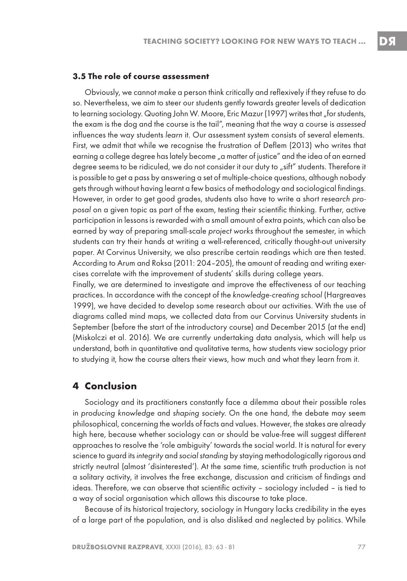#### **3.5 The role of course assessment**

Obviously, we cannot make a person think critically and reflexively if they refuse to do so. Nevertheless, we aim to steer our students gently towards greater levels of dedication to learning sociology. Quoting John W. Moore, Eric Mazur (1997) writes that "for students, the exam is the dog and the course is the tail", meaning that the way a course is assessed influences the way students learn it. Our assessment system consists of several elements. First, we admit that while we recognise the frustration of Deflem (2013) who writes that earning a college degree has lately become "a matter of justice" and the idea of an earned degree seems to be ridiculed, we do not consider it our duty to "sift" students. Therefore it is possible to get a pass by answering a set of multiple-choice questions, although nobody gets through without having learnt a few basics of methodology and sociological findings. However, in order to get good grades, students also have to write a short research proposal on a given topic as part of the exam, testing their scientific thinking. Further, active participation in lessons is rewarded with a small amount of extra points, which can also be earned by way of preparing small-scale project works throughout the semester, in which students can try their hands at writing a well-referenced, critically thought-out university paper. At Corvinus University, we also prescribe certain readings which are then tested. According to Arum and Roksa (2011: 204–205), the amount of reading and writing exercises correlate with the improvement of students' skills during college years.

Finally, we are determined to investigate and improve the effectiveness of our teaching practices. In accordance with the concept of the knowledge-creating school (Hargreaves 1999), we have decided to develop some research about our activities. With the use of diagrams called mind maps, we collected data from our Corvinus University students in September (before the start of the introductory course) and December 2015 (at the end) (Miskolczi et al. 2016). We are currently undertaking data analysis, which will help us understand, both in quantitative and qualitative terms, how students view sociology prior to studying it, how the course alters their views, how much and what they learn from it.

# **4 Conclusion**

Sociology and its practitioners constantly face a dilemma about their possible roles in producing knowledge and shaping society. On the one hand, the debate may seem philosophical, concerning the worlds of facts and values. However, the stakes are already high here, because whether sociology can or should be value-free will suggest different approaches to resolve the 'role ambiguity' towards the social world. It is natural for every science to guard its integrity and social standing by staying methodologically rigorous and strictly neutral (almost 'disinterested'). At the same time, scientific truth production is not a solitary activity, it involves the free exchange, discussion and criticism of findings and ideas. Therefore, we can observe that scientific activity – sociology included – is tied to a way of social organisation which allows this discourse to take place.

Because of its historical trajectory, sociology in Hungary lacks credibility in the eyes of a large part of the population, and is also disliked and neglected by politics. While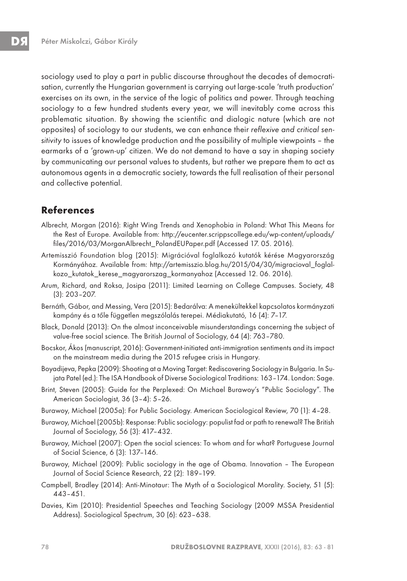sociology used to play a part in public discourse throughout the decades of democratisation, currently the Hungarian government is carrying out large-scale 'truth production' exercises on its own, in the service of the logic of politics and power. Through teaching sociology to a few hundred students every year, we will inevitably come across this problematic situation. By showing the scientific and dialogic nature (which are not opposites) of sociology to our students, we can enhance their reflexive and critical sensitivity to issues of knowledge production and the possibility of multiple viewpoints – the earmarks of a 'grown-up' citizen. We do not demand to have a say in shaping society by communicating our personal values to students, but rather we prepare them to act as autonomous agents in a democratic society, towards the full realisation of their personal and collective potential.

# **References**

- Albrecht, Morgan (2016): Right Wing Trends and Xenophobia in Poland: What This Means for the Rest of Europe. Available from: http://eucenter.scrippscollege.edu/wp-content/uploads/ files/2016/03/MorganAlbrecht\_PolandEUPaper.pdf (Accessed 17. 05. 2016).
- Artemisszió Foundation blog (2015): Migrációval foglalkozó kutatók kérése Magyarország Kormányához. Available from: http://artemisszio.blog.hu/2015/04/30/migracioval\_foglalkozo\_kutatok\_kerese\_magyarorszag\_kormanyahoz (Accessed 12. 06. 2016).
- Arum, Richard, and Roksa, Josipa (2011): Limited Learning on College Campuses. Society, 48 (3): 203–207.
- Bernáth, Gábor, and Messing, Vera (2015): Bedarálva: A menekültekkel kapcsolatos kormányzati kampány és a tőle független megszólalás terepei. Médiakutató, 16 (4): 7–17.
- Black, Donald (2013): On the almost inconceivable misunderstandings concerning the subject of value-free social science. The British Journal of Sociology, 64 (4): 763–780.
- Bocskor, Ákos (manuscript, 2016): Government-initiated anti-immigration sentiments and its impact on the mainstream media during the 2015 refugee crisis in Hungary.
- Boyadijeva, Pepka (2009): Shooting at a Moving Target: Rediscovering Sociology in Bulgaria. In Sujata Patel (ed.): The ISA Handbook of Diverse Sociological Traditions: 163–174. London: Sage.
- Brint, Steven (2005): Guide for the Perplexed: On Michael Burawoy's "Public Sociology". The American Sociologist, 36 (3–4): 5–26.
- Burawoy, Michael (2005a): For Public Sociology. American Sociological Review, 70 (1): 4–28.
- Burawoy, Michael (2005b): Response: Public sociology: populist fad or path to renewal? The British Journal of Sociology, 56 (3): 417–432.
- Burawoy, Michael (2007): Open the social sciences: To whom and for what? Portuguese Journal of Social Science, 6 (3): 137–146.
- Burawoy, Michael (2009): Public sociology in the age of Obama. Innovation The European Journal of Social Science Research, 22 (2): 189–199.
- Campbell, Bradley (2014): Anti-Minotaur: The Myth of a Sociological Morality. Society, 51 (5): 443–451.
- Davies, Kim (2010): Presidential Speeches and Teaching Sociology (2009 MSSA Presidential Address). Sociological Spectrum, 30 (6): 623–638.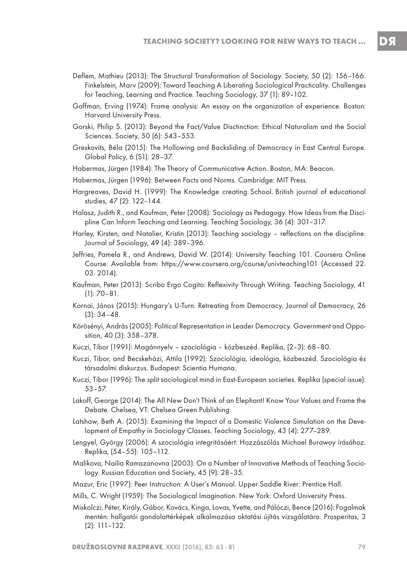- Deflem, Mathieu (2013): The Structural Transformation of Sociology. Society, 50 (2): 156–166. Finkelstein, Marv (2009): Toward Teaching A Liberating Sociological Practicality. Challenges for Teaching, Learning and Practice. Teaching Sociology, 37 (1): 89–102.
- Goffman, Erving (1974): Frame analysis: An essay on the organization of experience. Boston: Harvard University Press.
- Gorski, Philip S. (2013): Beyond the Fact/Value Disctinction: Ethical Naturalism and the Social Sciences. Society, 50 (6): 543–553.
- Greskovits, Béla (2015): The Hollowing and Backsliding of Democracy in East Central Europe. Global Policy, 6 (S1): 28–37.
- Habermas, Jürgen (1984): The Theory of Communicative Action. Boston, MA: Beacon.
- Habermas, Jürgen (1996): Between Facts and Norms. Cambridge: MIT Press.
- Hargreaves, David H. (1999): The Knowledge creating School. British journal of educational studies, 47 (2): 122–144.
- Halasz, Judith R., and Kaufman, Peter (2008): Sociology as Pedagogy. How Ideas from the Discipline Can Inform Teaching and Learning. Teaching Sociology, 36 (4): 301–317.
- Harley, Kirsten, and Natalier, Kristin (2013): Teaching sociology reflections on the discipline. Journal of Sociology, 49 (4): 389–396.
- Jeffries, Pamela R., and Andrews, David W. (2014): University Teaching 101. Coursera Online Course. Available from: https://www.coursera.org/course/univteaching101 (Accessed 22. 03. 2014).
- Kaufman, Peter (2013): Scribo Ergo Cogito: Reflexivity Through Writing. Teaching Sociology, 41 (1): 70–81.
- Kornai, János (2015): Hungary's U-Turn: Retreating from Democracy. Journal of Democracy, 26 (3): 34–48.
- Körösényi, András (2005): Political Representation in Leader Democracy. Government and Opposition, 40 (3): 358–378.
- Kuczi, Tibor (1991): Magánnyelv szociológia közbeszéd. Replika, (2–3): 68–80.
- Kuczi, Tibor, and Becskeházi, Attila (1992): Szociológia, ideológia, közbeszéd. Szociológia és társadalmi diskurzus. Budapest: Scientia Humana.
- Kuczi, Tibor (1996): The split sociological mind in East-European societies. Replika (special issue): 53–57.
- Lakoff, George (2014): The All New Don't Think of an Elephant! Know Your Values and Frame the Debate. Chelsea, VT: Chelsea Green Publishing.
- Latshaw, Beth A. (2015): Examining the Impact of a Domestic Violence Simulation on the Development of Empathy in Sociology Classes. Teaching Sociology, 43 (4): 277–289.
- Lengyel, György (2006): A szociológia integritásáért: Hozzászólás Michael Burawoy írásához. Replika, (54–55): 105–112.
- Malikova, Nailia Ramazanovna (2003): On a Number of Innovative Methods of Teaching Sociology. Russian Education and Society, 45 (9): 28–35.
- Mazur, Eric (1997): Peer Instruction: A User's Manual. Upper Saddle River: Prentice Hall.
- Mills, C. Wright (1959): The Sociological Imagination. New York: Oxford University Press.
- Miskolczi, Péter, Király, Gábor, Kovács, Kinga, Lovas, Yvette, and Pálóczi, Bence (2016): Fogalmak mentén: hallgatói gondolattérképek alkalmazása oktatási újítás vizsgálatára. Prosperitas, 3 (2): 111–132.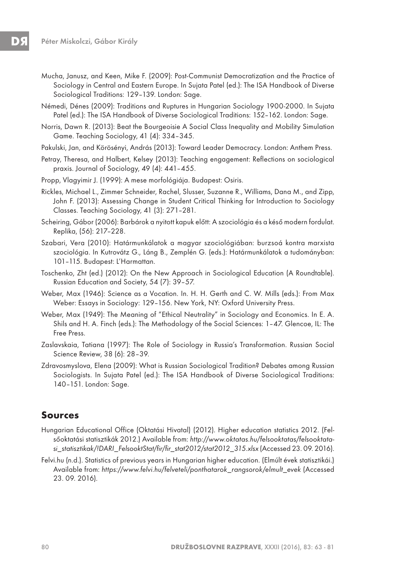- Mucha, Janusz, and Keen, Mike F. (2009): Post-Communist Democratization and the Practice of Sociology in Central and Eastern Europe. In Sujata Patel (ed.): The ISA Handbook of Diverse Sociological Traditions: 129–139. London: Sage.
- Némedi, Dénes (2009): Traditions and Ruptures in Hungarian Sociology 1900-2000. In Sujata Patel (ed.): The ISA Handbook of Diverse Sociological Traditions: 152–162. London: Sage.
- Norris, Dawn R. (2013): Beat the Bourgeoisie A Social Class Inequality and Mobility Simulation Game. Teaching Sociology, 41 (4): 334–345.
- Pakulski, Jan, and Körösényi, András (2013): Toward Leader Democracy. London: Anthem Press.
- Petray, Theresa, and Halbert, Kelsey (2013): Teaching engagement: Reflections on sociological praxis. Journal of Sociology, 49 (4): 441–455.
- Propp, Vlagyimir J. (1999): A mese morfológiája. Budapest: Osiris.
- Rickles, Michael L., Zimmer Schneider, Rachel, Slusser, Suzanne R., Williams, Dana M., and Zipp, John F. (2013): Assessing Change in Student Critical Thinking for Introduction to Sociology Classes. Teaching Sociology, 41 (3): 271–281.
- Scheiring, Gábor (2006): Barbárok a nyitott kapuk előtt: A szociológia és a késő modern fordulat. Replika, (56): 217–228.
- Szabari, Vera (2010): Határmunkálatok a magyar szociológiában: burzsoá kontra marxista szociológia. In Kutrovátz G., Láng B., Zemplén G. (eds.): Határmunkálatok a tudományban: 101–115. Budapest: L'Harmattan.
- Toschenko, Zht (ed.) (2012): On the New Approach in Sociological Education (A Roundtable). Russian Education and Society, 54 (7): 39–57.
- Weber, Max (1946): Science as a Vocation. In. H. H. Gerth and C. W. Mills (eds.): From Max Weber: Essays in Sociology: 129–156. New York, NY: Oxford University Press.
- Weber, Max (1949): The Meaning of "Ethical Neutrality" in Sociology and Economics. In E. A. Shils and H. A. Finch (eds.): The Methodology of the Social Sciences: 1–47. Glencoe, IL: The Free Press.
- Zaslavskaia, Tatiana (1997): The Role of Sociology in Russia's Transformation. Russian Social Science Review, 38 (6): 28–39.
- Zdravosmyslova, Elena (2009): What is Russian Sociological Tradition? Debates among Russian Sociologists. In Sujata Patel (ed.): The ISA Handbook of Diverse Sociological Traditions: 140–151. London: Sage.

## **Sources**

- Hungarian Educational Office (Oktatási Hivatal) (2012). Higher education statistics 2012. (Felsőoktatási statisztikák 2012.) Available from: http://www.oktatas.hu/felsooktatas/felsooktatasi\_statisztikak/!DARI\_FelsooktStat/fir/fir\_stat2012/stat2012\_315.xlsx (Accessed 23. 09. 2016).
- Felvi.hu (n.d.). Statistics of previous years in Hungarian higher education. (Elmúlt évek statisztikái.) Available from: https://www.felvi.hu/felveteli/ponthatarok\_rangsorok/elmult\_evek (Accessed 23. 09. 2016).